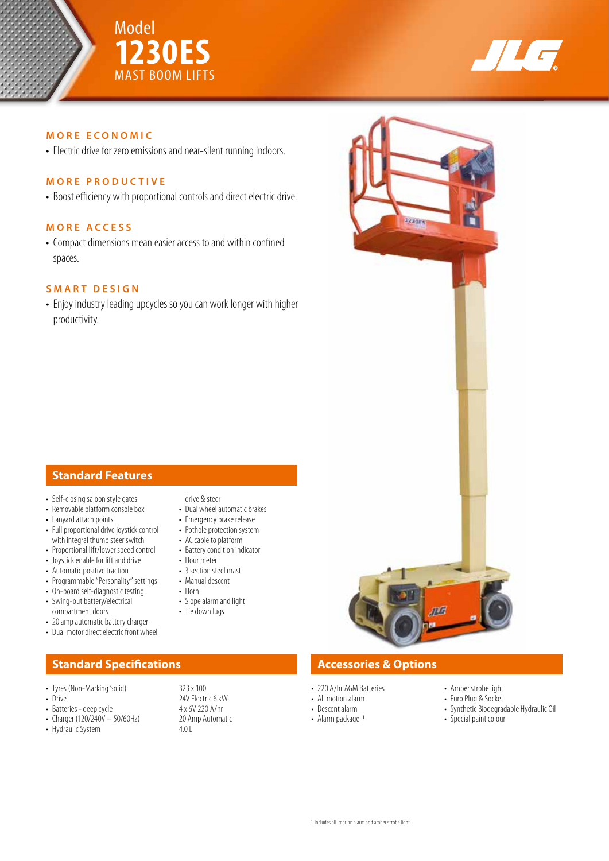



## **MORE ECONOMIC**

• Electric drive for zero emissions and near-silent running indoors.

### **MORE PRODUCTIVE**

• Boost efficiency with proportional controls and direct electric drive.

#### **MORE ACCESS**

• Compact dimensions mean easier access to and within confined spaces.

### **SMART DESIGN**

• Enjoy industry leading upcycles so you can work longer with higher productivity.

# **Standard Features**

- Self-closing saloon style gates • Removable platform console box
- Lanyard attach points
- Full proportional drive joystick control with integral thumb steer switch
- Proportional lift/lower speed control
- Joystick enable for lift and drive
- Automatic positive traction
- Programmable "Personality" settings
- On-board self-diagnostic testing
- Swing-out battery/electrical compartment doors
- 20 amp automatic battery charger
- Dual motor direct electric front wheel

# **Standard Specifications Accessories & Options**

- Tyres (Non-Marking Solid) 323 x 100<br>• Drive 24V Flectr
- 
- 
- Batteries deep cycle  $4 \times 6V$  220 A/hr<br>• Charger (120/240V 50/60Hz) 20 Amp Automatic • Charger (120/240V – 50/60Hz) 20 Amp 20 Amp 20 Amp 20 Amp Automatic System 4.0 L
- Hydraulic System

drive & steer

- Dual wheel automatic brakes
- Emergency brake release
- Pothole protection system • AC cable to platform
- Battery condition indicator
- Hour meter
- 3 section steel mast
- Manual descent
- Horn • Slope alarm and light
- Tie down lugs
- 

24V Electric 6 kW<br>4 x 6V 220 A/hr

- 220 A/hr AGM Batteries
- All motion alarm
- Descent alarm
- Alarm package 1
- Amber strobe light
- Euro Plug & Socket
- Synthetic Biodegradable Hydraulic Oil
- Special paint colour